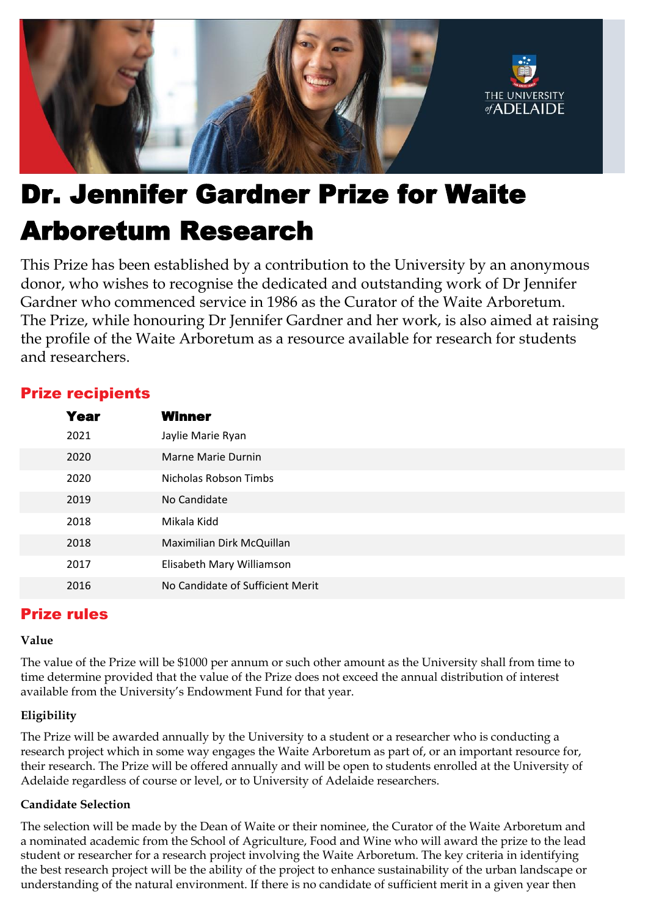

# Dr. Jennifer Gardner Prize for Waite Arboretum Research

This Prize has been established by a contribution to the University by an anonymous donor, who wishes to recognise the dedicated and outstanding work of Dr Jennifer Gardner who commenced service in 1986 as the Curator of the Waite Arboretum. The Prize, while honouring Dr Jennifer Gardner and her work, is also aimed at raising the profile of the Waite Arboretum as a resource available for research for students and researchers.

## Prize recipients

| Year | Winner                           |
|------|----------------------------------|
| 2021 | Jaylie Marie Ryan                |
| 2020 | Marne Marie Durnin               |
| 2020 | Nicholas Robson Timbs            |
| 2019 | No Candidate                     |
| 2018 | Mikala Kidd                      |
| 2018 | Maximilian Dirk McQuillan        |
| 2017 | Elisabeth Mary Williamson        |
| 2016 | No Candidate of Sufficient Merit |

## Prize rules

#### **Value**

The value of the Prize will be \$1000 per annum or such other amount as the University shall from time to time determine provided that the value of the Prize does not exceed the annual distribution of interest available from the University's Endowment Fund for that year.

### **Eligibility**

The Prize will be awarded annually by the University to a student or a researcher who is conducting a research project which in some way engages the Waite Arboretum as part of, or an important resource for, their research. The Prize will be offered annually and will be open to students enrolled at the University of Adelaide regardless of course or level, or to University of Adelaide researchers.

#### **Candidate Selection**

The selection will be made by the Dean of Waite or their nominee, the Curator of the Waite Arboretum and a nominated academic from the School of Agriculture, Food and Wine who will award the prize to the lead student or researcher for a research project involving the Waite Arboretum. The key criteria in identifying the best research project will be the ability of the project to enhance sustainability of the urban landscape or understanding of the natural environment. If there is no candidate of sufficient merit in a given year then